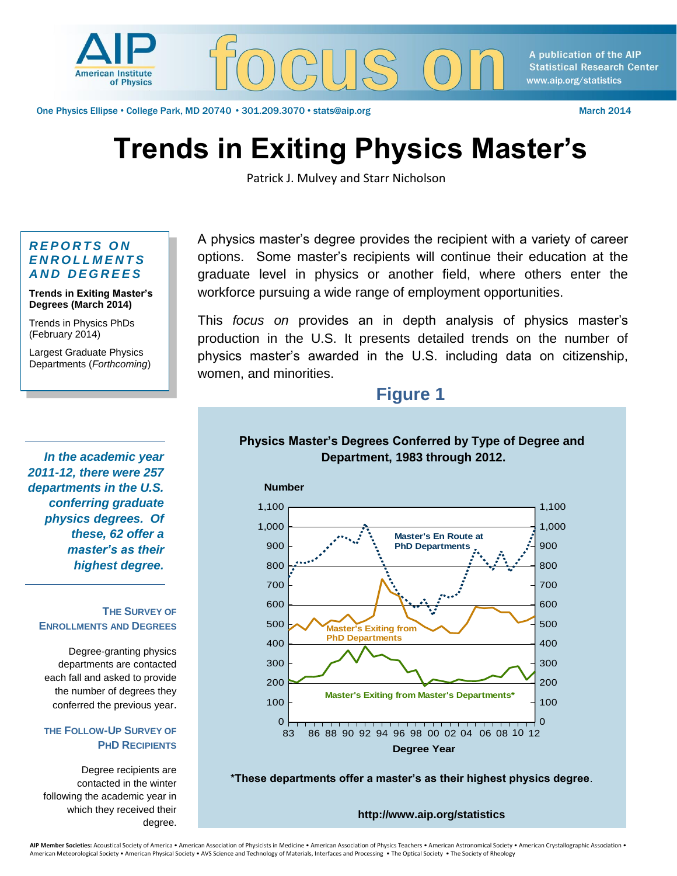

A publication of the AIP **Statistical Research Center** www.aip.org/statistics

One Physics Ellipse • College Park, MD 20740 • 301.209.3070 • stats@aip.org March 2014

# **Trends in Exiting Physics Master's**

Patrick J. Mulvey and Starr Nicholson

#### *R E P O R T S O N E N R O L L M E N T S A N D D E G R E E S*

**Trends in Exiting Master's Degrees (March 2014)** 

Trends in Physics PhDs (February 2014)

Largest Graduate Physics Departments (*Forthcoming*)

*In the academic year 2011-12, there were 257 departments in the U.S. conferring graduate physics degrees. Of these, 62 offer a master's as their highest degree.* 

#### **THE SURVEY OF ENROLLMENTS AND DEGREES**

Degree-granting physics departments are contacted each fall and asked to provide the number of degrees they conferred the previous year.

#### **THE FOLLOW-UP SURVEY OF PHD RECIPIENTS**

Degree recipients are contacted in the winter following the academic year in which they received their degree.

A physics master's degree provides the recipient with a variety of career options. Some master's recipients will continue their education at the graduate level in physics or another field, where others enter the workforce pursuing a wide range of employment opportunities.

This *focus on* provides an in depth analysis of physics master's production in the U.S. It presents detailed trends on the number of physics master's awarded in the U.S. including data on citizenship, women, and minorities.

# **Figure 1**

### **Physics Master's Degrees Conferred by Type of Degree and Department, 1983 through 2012.**



**\*These departments offer a master's as their highest physics degree**.

**http://www.aip.org/statistics**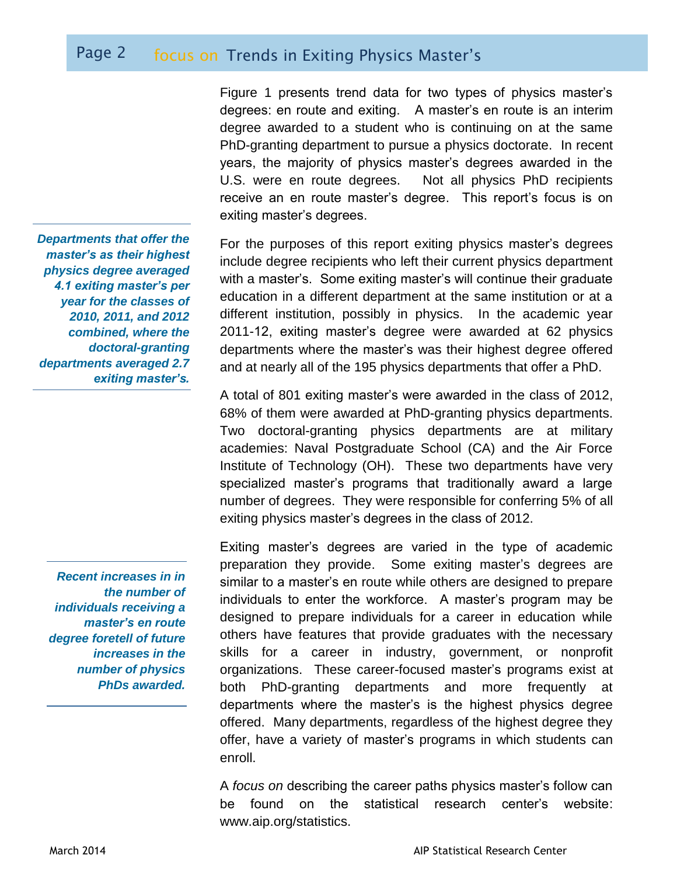# Page 2 focus on Trends in Exiting Physics Master's

Figure 1 presents trend data for two types of physics master's degrees: en route and exiting. A master's en route is an interim degree awarded to a student who is continuing on at the same PhD-granting department to pursue a physics doctorate. In recent years, the majority of physics master's degrees awarded in the U.S. were en route degrees. Not all physics PhD recipients receive an en route master's degree. This report's focus is on exiting master's degrees.

For the purposes of this report exiting physics master's degrees include degree recipients who left their current physics department with a master's. Some exiting master's will continue their graduate education in a different department at the same institution or at a different institution, possibly in physics. In the academic year 2011-12, exiting master's degree were awarded at 62 physics departments where the master's was their highest degree offered and at nearly all of the 195 physics departments that offer a PhD.

A total of 801 exiting master's were awarded in the class of 2012, 68% of them were awarded at PhD-granting physics departments. Two doctoral-granting physics departments are at military academies: Naval Postgraduate School (CA) and the Air Force Institute of Technology (OH). These two departments have very specialized master's programs that traditionally award a large number of degrees. They were responsible for conferring 5% of all exiting physics master's degrees in the class of 2012.

Exiting master's degrees are varied in the type of academic preparation they provide. Some exiting master's degrees are similar to a master's en route while others are designed to prepare individuals to enter the workforce. A master's program may be designed to prepare individuals for a career in education while others have features that provide graduates with the necessary skills for a career in industry, government, or nonprofit organizations. These career-focused master's programs exist at both PhD-granting departments and more frequently at departments where the master's is the highest physics degree offered. Many departments, regardless of the highest degree they offer, have a variety of master's programs in which students can enroll.

A *focus on* describing the career paths physics master's follow can be found on the statistical research center's website: www.aip.org/statistics.

*Departments that offer the master's as their highest physics degree averaged 4.1 exiting master's per year for the classes of 2010, 2011, and 2012 combined, where the doctoral-granting departments averaged 2.7 exiting master's.*

*Recent increases in in the number of individuals receiving a master's en route degree foretell of future increases in the number of physics PhDs awarded.*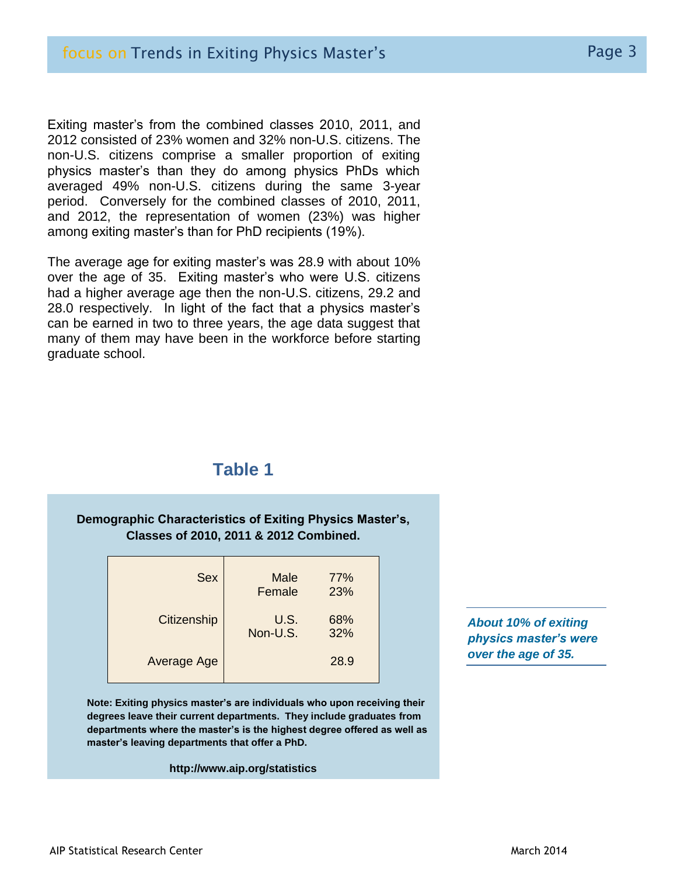Exiting master's from the combined classes 2010, 2011, and 2012 consisted of 23% women and 32% non-U.S. citizens. The non-U.S. citizens comprise a smaller proportion of exiting physics master's than they do among physics PhDs which averaged 49% non-U.S. citizens during the same 3-year period. Conversely for the combined classes of 2010, 2011, and 2012, the representation of women (23%) was higher among exiting master's than for PhD recipients (19%).

The average age for exiting master's was 28.9 with about 10% over the age of 35. Exiting master's who were U.S. citizens had a higher average age then the non-U.S. citizens, 29.2 and 28.0 respectively. In light of the fact that a physics master's can be earned in two to three years, the age data suggest that many of them may have been in the workforce before starting graduate school.

## **Table 1**

### **Demographic Characteristics of Exiting Physics Master's, Classes of 2010, 2011 & 2012 Combined.**

| <b>Sex</b>  | <b>Male</b><br>Female | 77%<br>23% |
|-------------|-----------------------|------------|
| Citizenship | U.S.<br>Non-U.S.      | 68%<br>32% |
| Average Age |                       | 28.9       |

**Note: Exiting physics master's are individuals who upon receiving their degrees leave their current departments. They include graduates from departments where the master's is the highest degree offered as well as master's leaving departments that offer a PhD.** 

#### **http://www.aip.org/statistics**

*About 10% of exiting physics master's were over the age of 35.*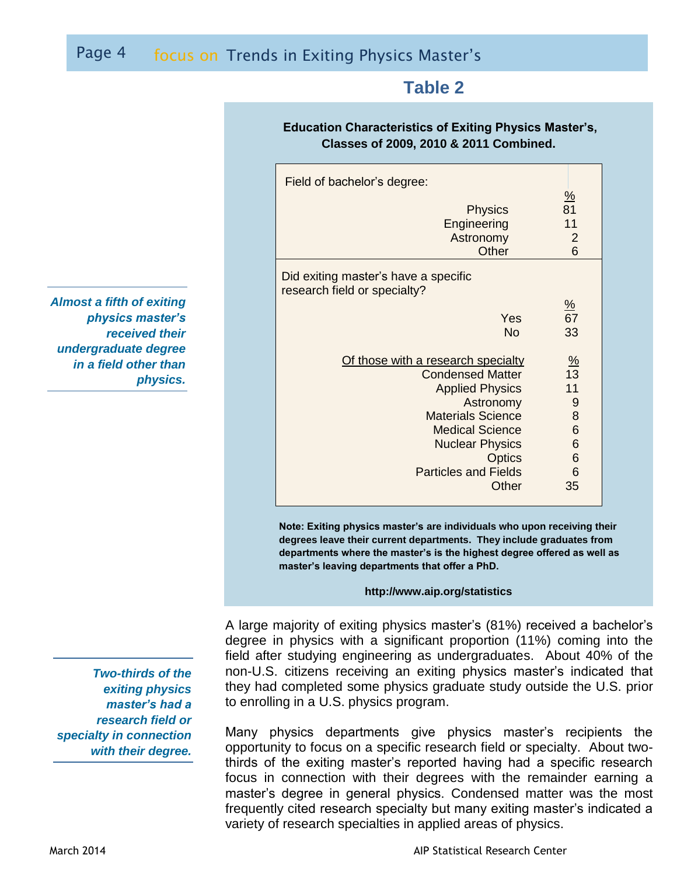# Page 4 focus on Trends in Exiting Physics Master's

## **Table 2**

#### **Education Characteristics of Exiting Physics Master's, Classes of 2009, 2010 & 2011 Combined.**

| Field of bachelor's degree:                                                                                                                                                                                                            |                                                           |  |  |  |
|----------------------------------------------------------------------------------------------------------------------------------------------------------------------------------------------------------------------------------------|-----------------------------------------------------------|--|--|--|
| <b>Physics</b><br>Engineering<br>Astronomy<br>Other                                                                                                                                                                                    | <u>%</u><br>81<br>11<br>$\overline{2}$<br>6               |  |  |  |
| Did exiting master's have a specific<br>research field or specialty?                                                                                                                                                                   |                                                           |  |  |  |
| Yes<br><b>No</b>                                                                                                                                                                                                                       | $\frac{9}{6}$<br>$\overline{67}$<br>33                    |  |  |  |
| Of those with a research specialty<br><b>Condensed Matter</b><br><b>Applied Physics</b><br>Astronomy<br><b>Materials Science</b><br><b>Medical Science</b><br><b>Nuclear Physics</b><br>Optics<br><b>Particles and Fields</b><br>Other | $\frac{\%}{13}$<br>11<br>9<br>8<br>6<br>6<br>6<br>6<br>35 |  |  |  |

**Note: Exiting physics master's are individuals who upon receiving their degrees leave their current departments. They include graduates from departments where the master's is the highest degree offered as well as master's leaving departments that offer a PhD.** 

#### **http://www.aip.org/statistics**

A large majority of exiting physics master's (81%) received a bachelor's degree in physics with a significant proportion (11%) coming into the field after studying engineering as undergraduates. About 40% of the non-U.S. citizens receiving an exiting physics master's indicated that they had completed some physics graduate study outside the U.S. prior to enrolling in a U.S. physics program.

Many physics departments give physics master's recipients the opportunity to focus on a specific research field or specialty. About twothirds of the exiting master's reported having had a specific research focus in connection with their degrees with the remainder earning a master's degree in general physics. Condensed matter was the most frequently cited research specialty but many exiting master's indicated a variety of research specialties in applied areas of physics.

*Almost a fifth of exiting physics master's received their undergraduate degree in a field other than physics.*

*Two-thirds of the exiting physics master's had a research field or specialty in connection with their degree.*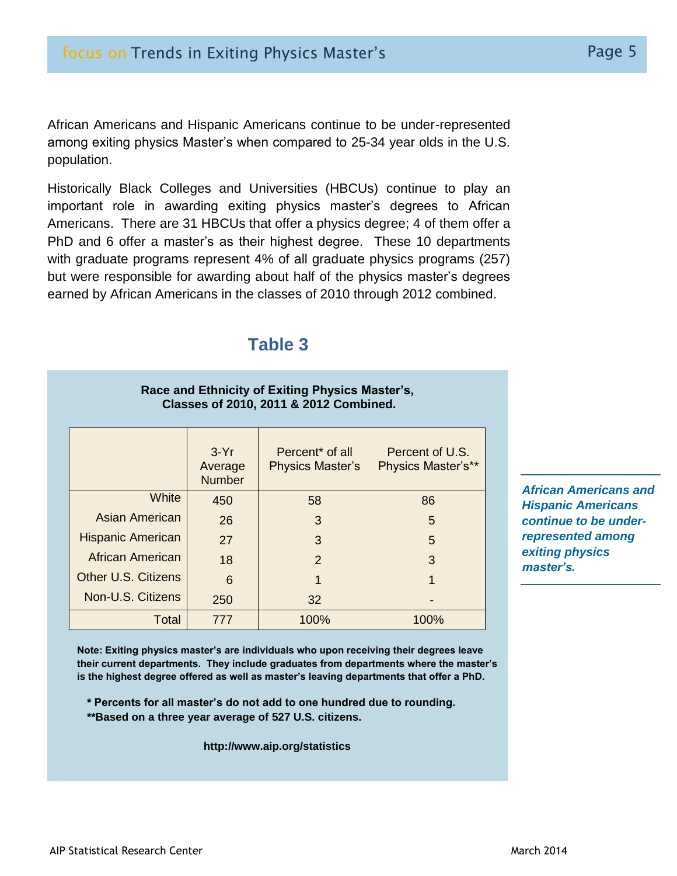African Americans and Hispanic Americans continue to be under-represented among exiting physics Master's when compared to 25-34 year olds in the U.S. population.

Historically Black Colleges and Universities (HBCUs) continue to play an important role in awarding exiting physics master's degrees to African Americans. There are 31 HBCUs that offer a physics degree; 4 of them offer a PhD and 6 offer a master's as their highest degree. These 10 departments with graduate programs represent 4% of all graduate physics programs (257) but were responsible for awarding about half of the physics master's degrees earned by African Americans in the classes of 2010 through 2012 combined.

## **Table 3**

**Race and Ethnicity of Exiting Physics Master's,**

| <b>Classes of 2010, 2011 &amp; 2012 Combined.</b> |                                    |                                                        |                                              |  |  |  |
|---------------------------------------------------|------------------------------------|--------------------------------------------------------|----------------------------------------------|--|--|--|
|                                                   | $3-Yr$<br>Average<br><b>Number</b> | Percent <sup>*</sup> of all<br><b>Physics Master's</b> | Percent of U.S.<br><b>Physics Master's**</b> |  |  |  |
| White                                             | 450                                | 58                                                     | 86                                           |  |  |  |
| Asian American                                    | 26                                 | 3                                                      | 5                                            |  |  |  |
| <b>Hispanic American</b>                          | 27                                 | 3                                                      | 5                                            |  |  |  |
| African American                                  | 18                                 | $\mathcal{P}$                                          | 3                                            |  |  |  |
| <b>Other U.S. Citizens</b>                        | 6                                  |                                                        |                                              |  |  |  |
| Non-U.S. Citizens                                 | 250                                | 32                                                     |                                              |  |  |  |
| Total                                             | 777                                | 100%                                                   | 100%                                         |  |  |  |

*African Americans and Hispanic Americans continue to be underrepresented among exiting physics master's.*

**Note: Exiting physics master's are individuals who upon receiving their degrees leave their current departments. They include graduates from departments where the master's is the highest degree offered as well as master's leaving departments that offer a PhD.** 

- **\* Percents for all master's do not add to one hundred due to rounding.**
- **\*\*Based on a three year average of 527 U.S. citizens.**

**http://www.aip.org/statistics**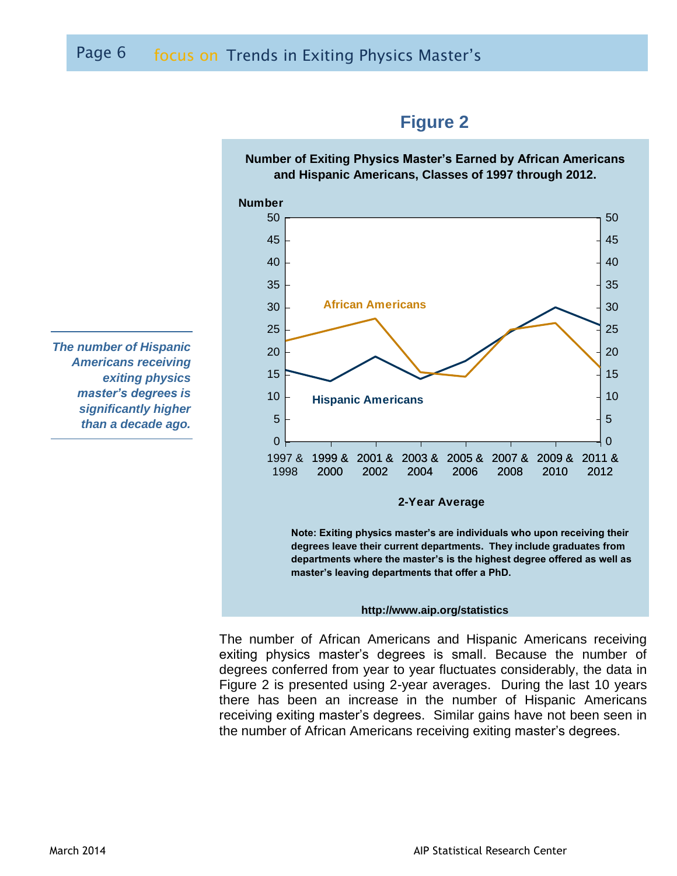

**Note: Exiting physics master's are individuals who upon receiving their degrees leave their current departments. They include graduates from departments where the master's is the highest degree offered as well as master's leaving departments that offer a PhD.** 

#### **http://www.aip.org/statistics**

The number of African Americans and Hispanic Americans receiving exiting physics master's degrees is small. Because the number of degrees conferred from year to year fluctuates considerably, the data in Figure 2 is presented using 2-year averages. During the last 10 years there has been an increase in the number of Hispanic Americans receiving exiting master's degrees. Similar gains have not been seen in the number of African Americans receiving exiting master's degrees.

*The number of Hispanic Americans receiving exiting physics master's degrees is significantly higher than a decade ago.*

# **Number of Exiting Physics Master's Earned by African Americans**

**Figure 2**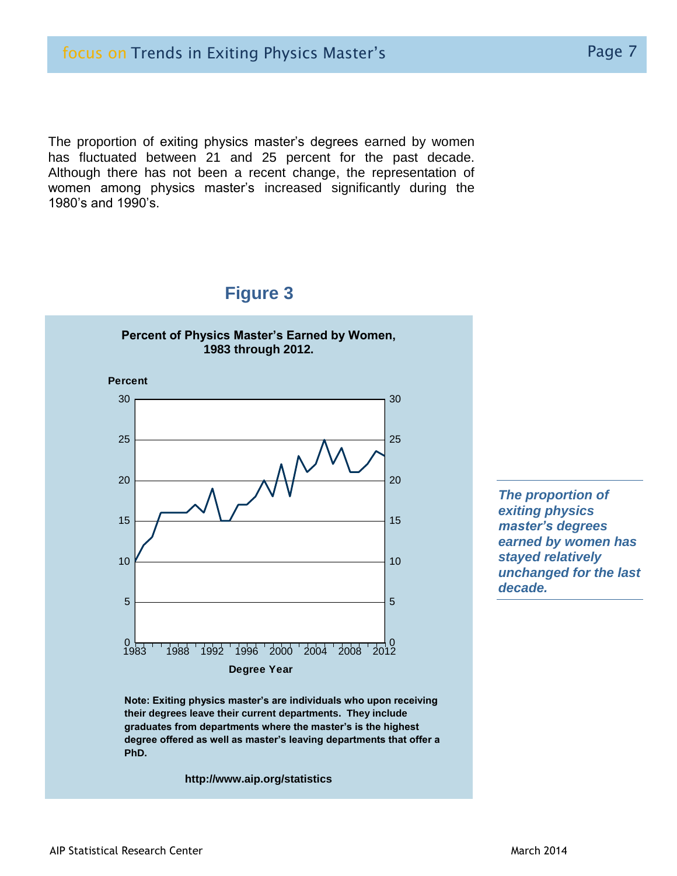The proportion of exiting physics master's degrees earned by women has fluctuated between 21 and 25 percent for the past decade. Although there has not been a recent change, the representation of women among physics master's increased significantly during the 1980's and 1990's.

## **Figure 3**



 **Note: Exiting physics master's are individuals who upon receiving their degrees leave their current departments. They include graduates from departments where the master's is the highest degree offered as well as master's leaving departments that offer a PhD.** 

**http://www.aip.org/statistics**

*The proportion of exiting physics master's degrees earned by women has stayed relatively unchanged for the last decade.*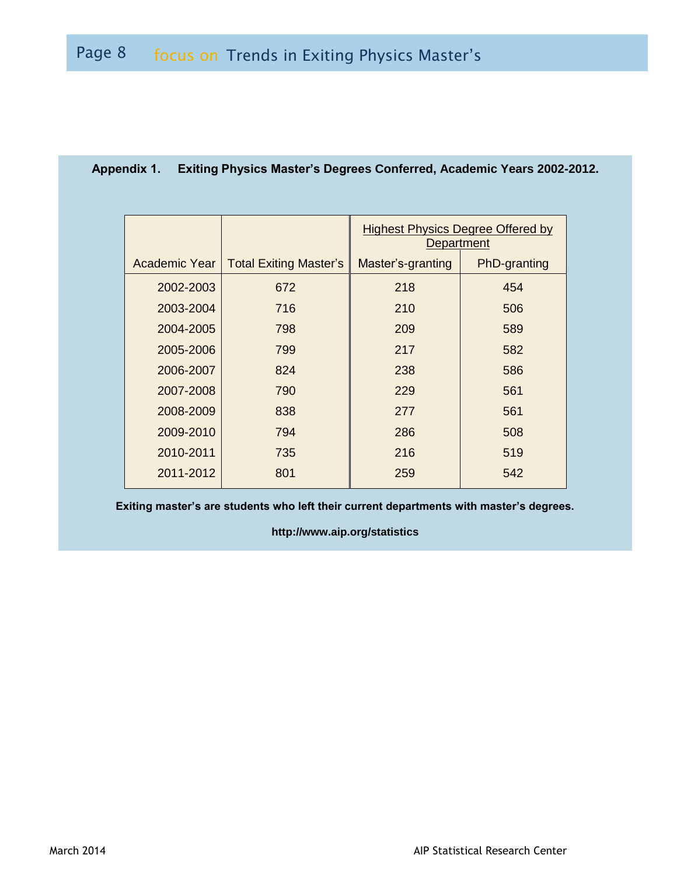|               |                               | <b>Highest Physics Degree Offered by</b><br>Department |              |  |
|---------------|-------------------------------|--------------------------------------------------------|--------------|--|
| Academic Year | <b>Total Exiting Master's</b> | Master's-granting                                      | PhD-granting |  |
| 2002-2003     | 672                           | 218                                                    | 454          |  |
| 2003-2004     | 716                           | 210                                                    | 506          |  |
| 2004-2005     | 798                           | 209                                                    | 589          |  |
| 2005-2006     | 799                           | 217                                                    | 582          |  |
| 2006-2007     | 824                           | 238                                                    | 586          |  |
| 2007-2008     | 790                           | 229                                                    | 561          |  |
| 2008-2009     | 838                           | 277                                                    | 561          |  |
| 2009-2010     | 794                           | 286                                                    | 508          |  |
| 2010-2011     | 735                           | 216                                                    | 519          |  |
| 2011-2012     | 801                           | 259                                                    | 542          |  |

## **Appendix 1. Exiting Physics Master's Degrees Conferred, Academic Years 2002-2012.**

**Exiting master's are students who left their current departments with master's degrees.**

**http://www.aip.org/statistics**